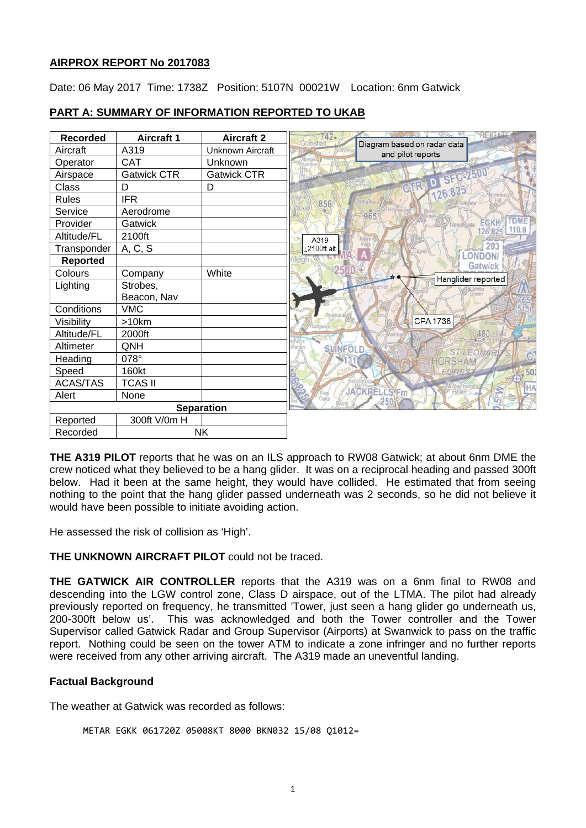# **AIRPROX REPORT No 2017083**

Date: 06 May 2017 Time: 1738Z Position: 5107N 00021W Location: 6nm Gatwick

| <b>Recorded</b> | <b>Aircraft 1</b>  | <b>Aircraft 2</b>       |
|-----------------|--------------------|-------------------------|
| Aircraft        | A319               | <b>Unknown Aircraft</b> |
| Operator        | <b>CAT</b>         | Unknown                 |
| Airspace        | <b>Gatwick CTR</b> | <b>Gatwick CTR</b>      |
| Class           | D                  | D                       |
| <b>Rules</b>    | <b>IFR</b>         |                         |
| Service         | Aerodrome          |                         |
| Provider        | Gatwick            |                         |
| Altitude/FL     | 2100ft             |                         |
| Transponder     | A, C, S            |                         |
| <b>Reported</b> |                    |                         |
| Colours         | Company            | White                   |
| Lighting        | Strobes,           |                         |
|                 | Beacon, Nav        |                         |
| Conditions      | <b>VMC</b>         |                         |
| Visibility      | >10km              |                         |
| Altitude/FL     | 2000ft             |                         |
| Altimeter       | QNH                |                         |
| Heading         | 078°               |                         |
| Speed           | 160kt              |                         |
| <b>ACAS/TAS</b> | <b>TCAS II</b>     |                         |
| Alert           | None               |                         |
|                 |                    | <b>Separation</b>       |
| Reported        | 300ft V/0m H       |                         |
| Recorded        |                    | <b>NK</b>               |

# **PART A: SUMMARY OF INFORMATION REPORTED TO UKAB**

**THE A319 PILOT** reports that he was on an ILS approach to RW08 Gatwick; at about 6nm DME the crew noticed what they believed to be a hang glider. It was on a reciprocal heading and passed 300ft below. Had it been at the same height, they would have collided. He estimated that from seeing nothing to the point that the hang glider passed underneath was 2 seconds, so he did not believe it would have been possible to initiate avoiding action.

He assessed the risk of collision as 'High'.

# **THE UNKNOWN AIRCRAFT PILOT** could not be traced.

**THE GATWICK AIR CONTROLLER** reports that the A319 was on a 6nm final to RW08 and descending into the LGW control zone, Class D airspace, out of the LTMA. The pilot had already previously reported on frequency, he transmitted 'Tower, just seen a hang glider go underneath us,<br>200-300ft below us'. This was acknowledged and both the Tower controller and the Tower This was acknowledged and both the Tower controller and the Tower Supervisor called Gatwick Radar and Group Supervisor (Airports) at Swanwick to pass on the traffic report. Nothing could be seen on the tower ATM to indicate a zone infringer and no further reports were received from any other arriving aircraft. The A319 made an uneventful landing.

# **Factual Background**

The weather at Gatwick was recorded as follows:

```
METAR EGKK 061720Z 05008KT 8000 BKN032 15/08 Q1012=
```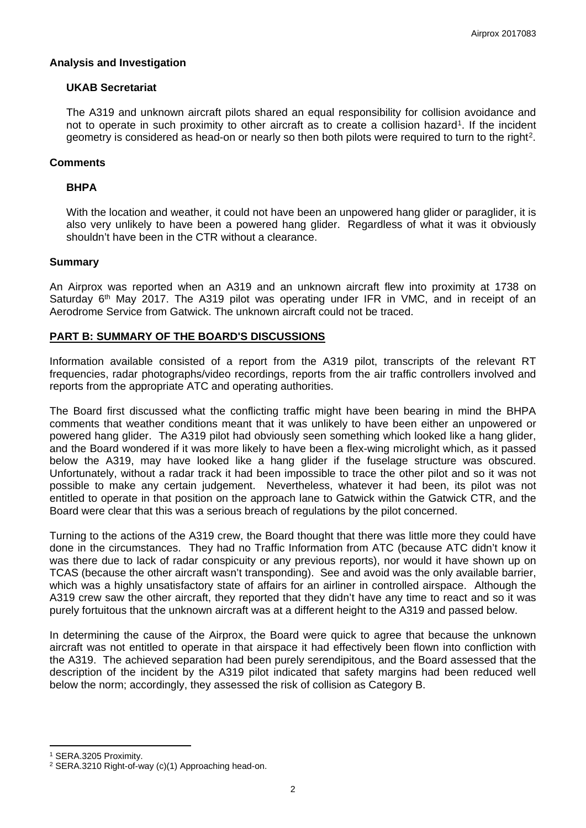### **Analysis and Investigation**

### **UKAB Secretariat**

The A319 and unknown aircraft pilots shared an equal responsibility for collision avoidance and not to operate in such proximity to other aircraft as to create a collision hazard<sup>[1](#page-1-0)</sup>. If the incident geometry is considered as head-on or nearly so then both pilots were required to turn to the right<sup>[2](#page-1-1)</sup>.

### **Comments**

#### **BHPA**

With the location and weather, it could not have been an unpowered hang glider or paraglider, it is also very unlikely to have been a powered hang glider. Regardless of what it was it obviously shouldn't have been in the CTR without a clearance.

#### **Summary**

An Airprox was reported when an A319 and an unknown aircraft flew into proximity at 1738 on Saturday  $6<sup>th</sup>$  May 2017. The A319 pilot was operating under IFR in VMC, and in receipt of an Aerodrome Service from Gatwick. The unknown aircraft could not be traced.

### **PART B: SUMMARY OF THE BOARD'S DISCUSSIONS**

Information available consisted of a report from the A319 pilot, transcripts of the relevant RT frequencies, radar photographs/video recordings, reports from the air traffic controllers involved and reports from the appropriate ATC and operating authorities.

The Board first discussed what the conflicting traffic might have been bearing in mind the BHPA comments that weather conditions meant that it was unlikely to have been either an unpowered or powered hang glider. The A319 pilot had obviously seen something which looked like a hang glider, and the Board wondered if it was more likely to have been a flex-wing microlight which, as it passed below the A319, may have looked like a hang glider if the fuselage structure was obscured. Unfortunately, without a radar track it had been impossible to trace the other pilot and so it was not possible to make any certain judgement. Nevertheless, whatever it had been, its pilot was not entitled to operate in that position on the approach lane to Gatwick within the Gatwick CTR, and the Board were clear that this was a serious breach of regulations by the pilot concerned.

Turning to the actions of the A319 crew, the Board thought that there was little more they could have done in the circumstances. They had no Traffic Information from ATC (because ATC didn't know it was there due to lack of radar conspicuity or any previous reports), nor would it have shown up on TCAS (because the other aircraft wasn't transponding). See and avoid was the only available barrier, which was a highly unsatisfactory state of affairs for an airliner in controlled airspace. Although the A319 crew saw the other aircraft, they reported that they didn't have any time to react and so it was purely fortuitous that the unknown aircraft was at a different height to the A319 and passed below.

In determining the cause of the Airprox, the Board were quick to agree that because the unknown aircraft was not entitled to operate in that airspace it had effectively been flown into confliction with the A319. The achieved separation had been purely serendipitous, and the Board assessed that the description of the incident by the A319 pilot indicated that safety margins had been reduced well below the norm; accordingly, they assessed the risk of collision as Category B.

 $\overline{a}$ 

<span id="page-1-0"></span><sup>1</sup> SERA.3205 Proximity.

<span id="page-1-1"></span><sup>2</sup> SERA.3210 Right-of-way (c)(1) Approaching head-on.